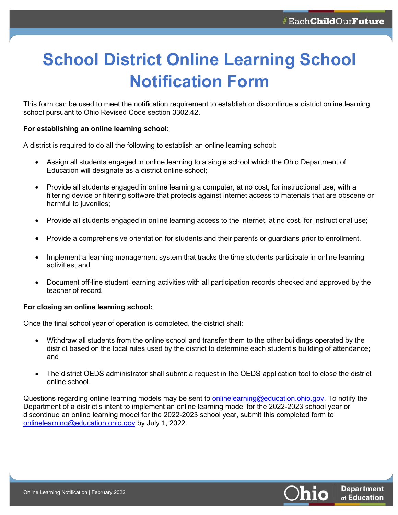## **School District Online Learning School Notification Form**

This form can be used to meet the notification requirement to establish or discontinue a district online learning school pursuant to Ohio Revised Code section 3302.42.

## **For establishing an online learning school:**

A district is required to do all the following to establish an online learning school:

- Assign all students engaged in online learning to a single school which the Ohio Department of Education will designate as a district online school;
- Provide all students engaged in online learning a computer, at no cost, for instructional use, with a filtering device or filtering software that protects against internet access to materials that are obscene or harmful to juveniles;
- Provide all students engaged in online learning access to the internet, at no cost, for instructional use;
- Provide a comprehensive orientation for students and their parents or guardians prior to enrollment.
- Implement a learning management system that tracks the time students participate in online learning activities; and
- Document off-line student learning activities with all participation records checked and approved by the teacher of record.

## **For closing an online learning school:**

Once the final school year of operation is completed, the district shall:

- Withdraw all students from the online school and transfer them to the other buildings operated by the district based on the local rules used by the district to determine each student's building of attendance; and
- The district OEDS administrator shall submit a request in the OEDS application tool to close the district online school.

Questions regarding online learning models may be sent to [onlinelearning@education.ohio.gov.](mailto:onlinelearning@education.ohio.gov) To notify the Department of a district's intent to implement an online learning model for the 2022-2023 school year or discontinue an online learning model for the 2022-2023 school year, submit this completed form to [onlinelearning@education.ohio.gov](mailto:onlinelearning@education.ohio.gov) by July 1, 2022.